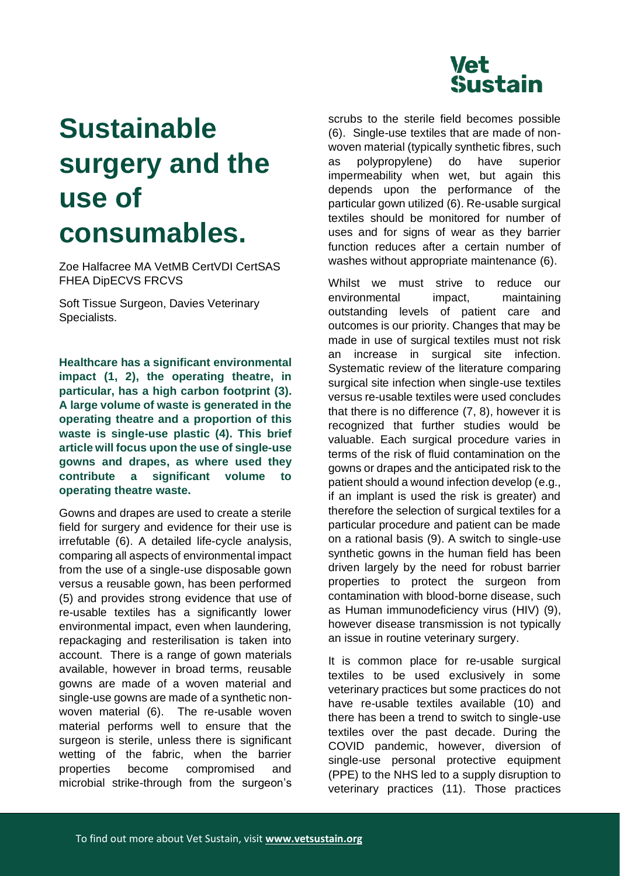

## **Sustainable surgery and the use of consumables.**

Zoe Halfacree MA VetMB CertVDI CertSAS FHEA DipECVS FRCVS

Soft Tissue Surgeon, Davies Veterinary Specialists.

**Healthcare has a significant environmental impact (1, 2), the operating theatre, in particular, has a high carbon footprint (3). A large volume of waste is generated in the operating theatre and a proportion of this waste is single-use plastic (4). This brief article will focus upon the use of single-use gowns and drapes, as where used they contribute a significant volume to operating theatre waste.** 

Gowns and drapes are used to create a sterile field for surgery and evidence for their use is irrefutable (6). A detailed life-cycle analysis, comparing all aspects of environmental impact from the use of a single-use disposable gown versus a reusable gown, has been performed (5) and provides strong evidence that use of re-usable textiles has a significantly lower environmental impact, even when laundering, repackaging and resterilisation is taken into account. There is a range of gown materials available, however in broad terms, reusable gowns are made of a woven material and single-use gowns are made of a synthetic nonwoven material (6). The re-usable woven material performs well to ensure that the surgeon is sterile, unless there is significant wetting of the fabric, when the barrier properties become compromised and microbial strike-through from the surgeon's scrubs to the sterile field becomes possible (6). Single-use textiles that are made of nonwoven material (typically synthetic fibres, such as polypropylene) do have superior impermeability when wet, but again this depends upon the performance of the particular gown utilized (6). Re-usable surgical textiles should be monitored for number of uses and for signs of wear as they barrier function reduces after a certain number of washes without appropriate maintenance (6).

Whilst we must strive to reduce our environmental impact, maintaining outstanding levels of patient care and outcomes is our priority. Changes that may be made in use of surgical textiles must not risk an increase in surgical site infection. Systematic review of the literature comparing surgical site infection when single-use textiles versus re-usable textiles were used concludes that there is no difference (7, 8), however it is recognized that further studies would be valuable. Each surgical procedure varies in terms of the risk of fluid contamination on the gowns or drapes and the anticipated risk to the patient should a wound infection develop (e.g., if an implant is used the risk is greater) and therefore the selection of surgical textiles for a particular procedure and patient can be made on a rational basis (9). A switch to single-use synthetic gowns in the human field has been driven largely by the need for robust barrier properties to protect the surgeon from contamination with blood-borne disease, such as Human immunodeficiency virus (HIV) (9), however disease transmission is not typically an issue in routine veterinary surgery.

It is common place for re-usable surgical textiles to be used exclusively in some veterinary practices but some practices do not have re-usable textiles available (10) and there has been a trend to switch to single-use textiles over the past decade. During the COVID pandemic, however, diversion of single-use personal protective equipment (PPE) to the NHS led to a supply disruption to veterinary practices (11). Those practices